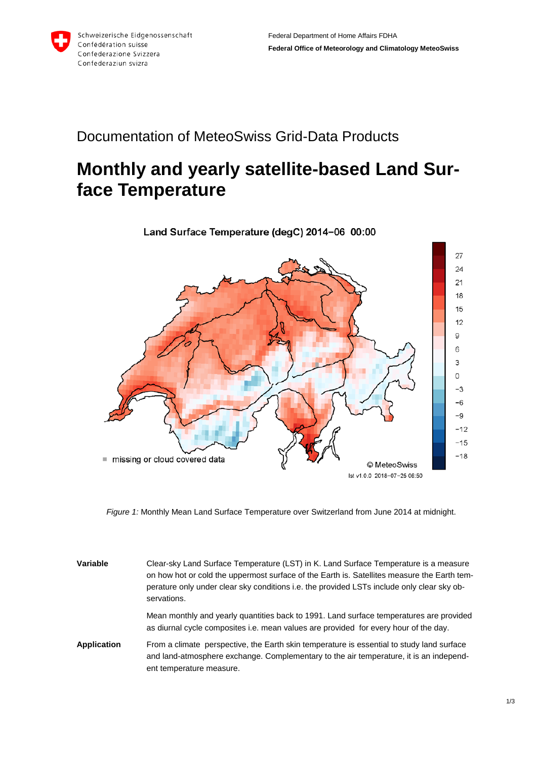

## Documentation of MeteoSwiss Grid-Data Products

## **Monthly and yearly satellite-based Land Surface Temperature**



*Figure 1:* Monthly Mean Land Surface Temperature over Switzerland from June 2014 at midnight.

| Variable           | Clear-sky Land Surface Temperature (LST) in K. Land Surface Temperature is a measure<br>on how hot or cold the uppermost surface of the Earth is. Satellites measure the Earth tem-<br>perature only under clear sky conditions i.e. the provided LSTs include only clear sky ob-<br>servations. |
|--------------------|--------------------------------------------------------------------------------------------------------------------------------------------------------------------------------------------------------------------------------------------------------------------------------------------------|
|                    | Mean monthly and yearly quantities back to 1991. Land surface temperatures are provided<br>as diurnal cycle composites i.e. mean values are provided for every hour of the day.                                                                                                                  |
| <b>Application</b> | From a climate perspective, the Earth skin temperature is essential to study land surface<br>and land-atmosphere exchange. Complementary to the air temperature, it is an independ-<br>ent temperature measure.                                                                                  |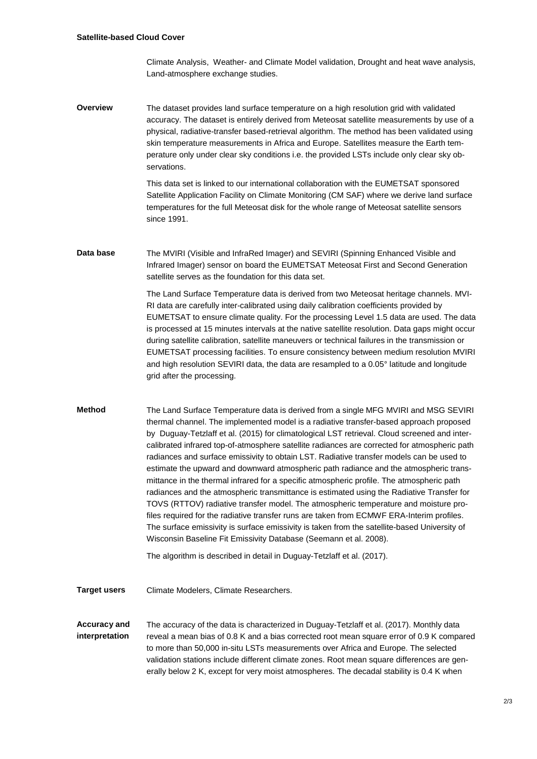Climate Analysis, Weather- and Climate Model validation, Drought and heat wave analysis, Land-atmosphere exchange studies.

**Overview** The dataset provides land surface temperature on a high resolution grid with validated accuracy. The dataset is entirely derived from Meteosat satellite measurements by use of a physical, radiative-transfer based-retrieval algorithm. The method has been validated using skin temperature measurements in Africa and Europe. Satellites measure the Earth temperature only under clear sky conditions i.e. the provided LSTs include only clear sky observations.

> This data set is linked to our international collaboration with the EUMETSAT sponsored Satellite Application Facility on Climate Monitoring (CM SAF) where we derive land surface temperatures for the full Meteosat disk for the whole range of Meteosat satellite sensors since 1991.

**Data base** The MVIRI (Visible and InfraRed Imager) and SEVIRI (Spinning Enhanced Visible and Infrared Imager) sensor on board the EUMETSAT Meteosat First and Second Generation satellite serves as the foundation for this data set.

> The Land Surface Temperature data is derived from two Meteosat heritage channels. MVI-RI data are carefully inter-calibrated using daily calibration coefficients provided by EUMETSAT to ensure climate quality. For the processing Level 1.5 data are used. The data is processed at 15 minutes intervals at the native satellite resolution. Data gaps might occur during satellite calibration, satellite maneuvers or technical failures in the transmission or EUMETSAT processing facilities. To ensure consistency between medium resolution MVIRI and high resolution SEVIRI data, the data are resampled to a 0.05° latitude and longitude grid after the processing.

**Method** The Land Surface Temperature data is derived from a single MFG MVIRI and MSG SEVIRI thermal channel. The implemented model is a radiative transfer-based approach proposed by Duguay-Tetzlaff et al. (2015) for climatological LST retrieval. Cloud screened and intercalibrated infrared top-of-atmosphere satellite radiances are corrected for atmospheric path radiances and surface emissivity to obtain LST. Radiative transfer models can be used to estimate the upward and downward atmospheric path radiance and the atmospheric transmittance in the thermal infrared for a specific atmospheric profile. The atmospheric path radiances and the atmospheric transmittance is estimated using the Radiative Transfer for TOVS (RTTOV) radiative transfer model. The atmospheric temperature and moisture profiles required for the radiative transfer runs are taken from ECMWF ERA-Interim profiles. The surface emissivity is surface emissivity is taken from the satellite-based University of Wisconsin Baseline Fit Emissivity Database (Seemann et al. 2008).

The algorithm is described in detail in Duguay-Tetzlaff et al. (2017).

**Target users** Climate Modelers, Climate Researchers.

**Accuracy and interpretation** The accuracy of the data is characterized in Duguay-Tetzlaff et al. (2017). Monthly data reveal a mean bias of 0.8 K and a bias corrected root mean square error of 0.9 K compared to more than 50,000 in-situ LSTs measurements over Africa and Europe. The selected validation stations include different climate zones. Root mean square differences are generally below 2 K, except for very moist atmospheres. The decadal stability is 0.4 K when